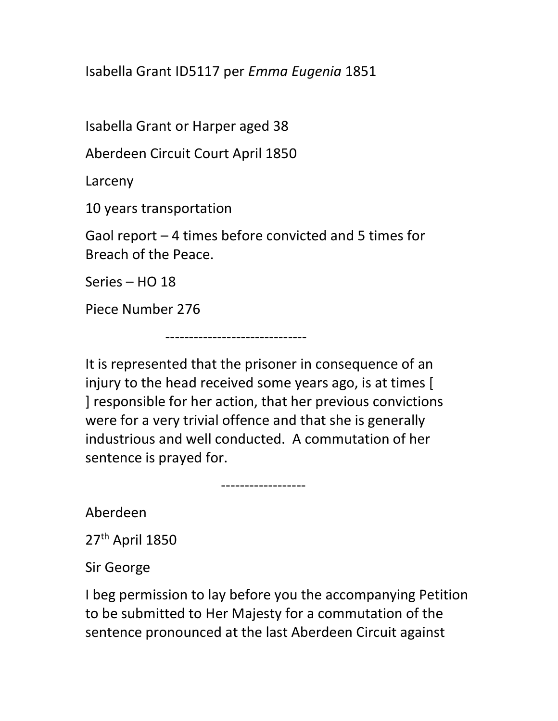Isabella Grant ID5117 per Emma Eugenia 1851

Isabella Grant or Harper aged 38

Aberdeen Circuit Court April 1850

------------------------------

Larceny

10 years transportation

Gaol report – 4 times before convicted and 5 times for Breach of the Peace.

Series – HO 18

Piece Number 276

It is represented that the prisoner in consequence of an injury to the head received some years ago, is at times [ ] responsible for her action, that her previous convictions were for a very trivial offence and that she is generally industrious and well conducted. A commutation of her sentence is prayed for.

------------------

Aberdeen

27th April 1850

Sir George

I beg permission to lay before you the accompanying Petition to be submitted to Her Majesty for a commutation of the sentence pronounced at the last Aberdeen Circuit against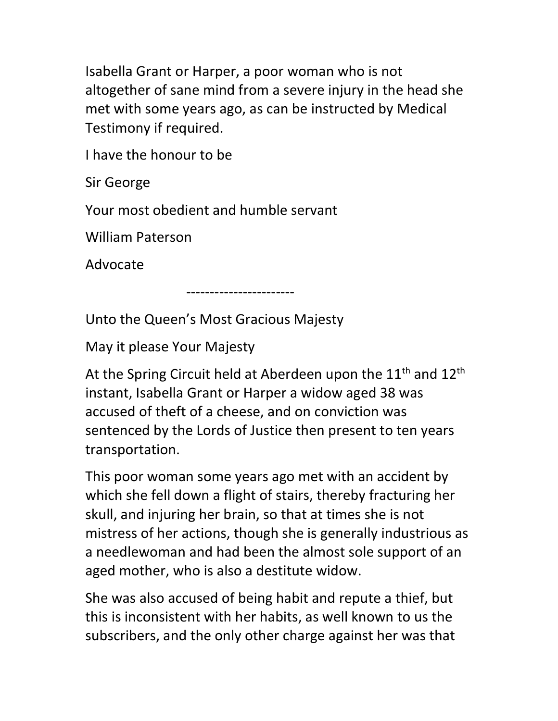Isabella Grant or Harper, a poor woman who is not altogether of sane mind from a severe injury in the head she met with some years ago, as can be instructed by Medical Testimony if required.

I have the honour to be

Sir George

Your most obedient and humble servant

William Paterson

Advocate

-----------------------

Unto the Queen's Most Gracious Majesty

May it please Your Majesty

At the Spring Circuit held at Aberdeen upon the  $11<sup>th</sup>$  and  $12<sup>th</sup>$ instant, Isabella Grant or Harper a widow aged 38 was accused of theft of a cheese, and on conviction was sentenced by the Lords of Justice then present to ten years transportation.

This poor woman some years ago met with an accident by which she fell down a flight of stairs, thereby fracturing her skull, and injuring her brain, so that at times she is not mistress of her actions, though she is generally industrious as a needlewoman and had been the almost sole support of an aged mother, who is also a destitute widow.

She was also accused of being habit and repute a thief, but this is inconsistent with her habits, as well known to us the subscribers, and the only other charge against her was that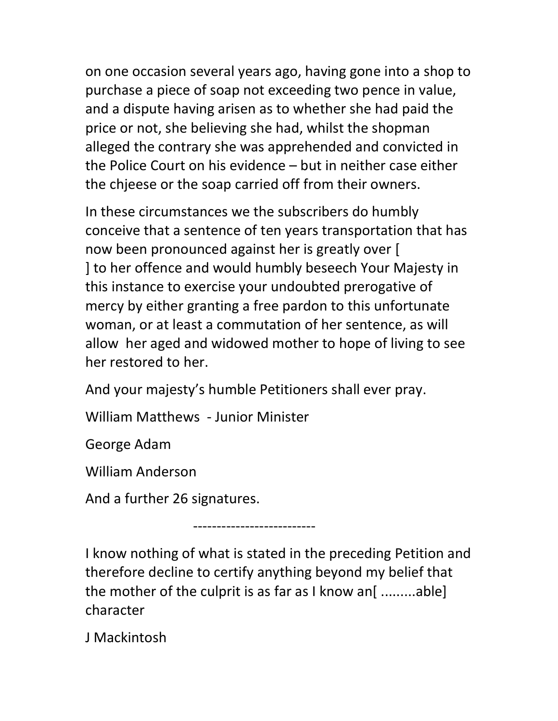on one occasion several years ago, having gone into a shop to purchase a piece of soap not exceeding two pence in value, and a dispute having arisen as to whether she had paid the price or not, she believing she had, whilst the shopman alleged the contrary she was apprehended and convicted in the Police Court on his evidence – but in neither case either the chjeese or the soap carried off from their owners.

In these circumstances we the subscribers do humbly conceive that a sentence of ten years transportation that has now been pronounced against her is greatly over [ ] to her offence and would humbly beseech Your Majesty in this instance to exercise your undoubted prerogative of mercy by either granting a free pardon to this unfortunate woman, or at least a commutation of her sentence, as will allow her aged and widowed mother to hope of living to see her restored to her.

And your majesty's humble Petitioners shall ever pray.

William Matthews - Junior Minister

George Adam

William Anderson

And a further 26 signatures.

--------------------------

I know nothing of what is stated in the preceding Petition and therefore decline to certify anything beyond my belief that the mother of the culprit is as far as I know an [.........able] character

J Mackintosh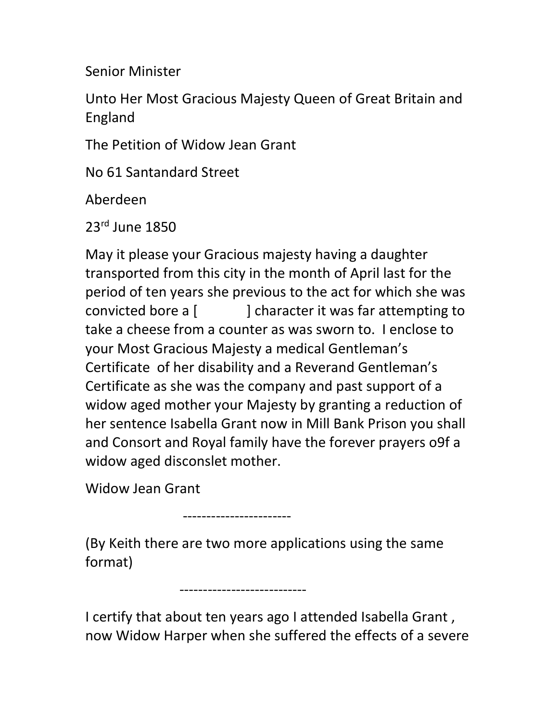Senior Minister

Unto Her Most Gracious Majesty Queen of Great Britain and England

The Petition of Widow Jean Grant

No 61 Santandard Street

Aberdeen

23rd June 1850

May it please your Gracious majesty having a daughter transported from this city in the month of April last for the period of ten years she previous to the act for which she was convicted bore a [ ] character it was far attempting to take a cheese from a counter as was sworn to. I enclose to your Most Gracious Majesty a medical Gentleman's Certificate of her disability and a Reverand Gentleman's Certificate as she was the company and past support of a widow aged mother your Majesty by granting a reduction of her sentence Isabella Grant now in Mill Bank Prison you shall and Consort and Royal family have the forever prayers o9f a widow aged disconslet mother.

Widow Jean Grant

-----------------------

(By Keith there are two more applications using the same format)

---------------------------

I certify that about ten years ago I attended Isabella Grant , now Widow Harper when she suffered the effects of a severe